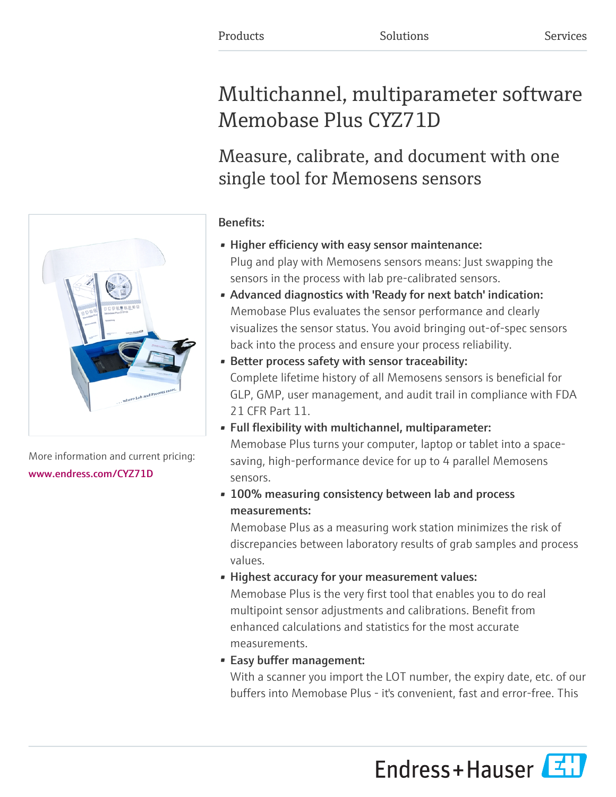# Multichannel, multiparameter software Memobase Plus CYZ71D

# Measure, calibrate, and document with one single tool for Memosens sensors

# Benefits:

- Higher efficiency with easy sensor maintenance: Plug and play with Memosens sensors means: Just swapping the sensors in the process with lab pre-calibrated sensors.
- Advanced diagnostics with 'Ready for next batch' indication: Memobase Plus evaluates the sensor performance and clearly visualizes the sensor status. You avoid bringing out-of-spec sensors back into the process and ensure your process reliability.
- Better process safety with sensor traceability: Complete lifetime history of all Memosens sensors is beneficial for GLP, GMP, user management, and audit trail in compliance with FDA 21 CFR Part 11.
- Full flexibility with multichannel, multiparameter: Memobase Plus turns your computer, laptop or tablet into a spacesaving, high-performance device for up to 4 parallel Memosens sensors.
- 100% measuring consistency between lab and process measurements:

Memobase Plus as a measuring work station minimizes the risk of discrepancies between laboratory results of grab samples and process values.

• Highest accuracy for your measurement values: Memobase Plus is the very first tool that enables you to do real multipoint sensor adjustments and calibrations. Benefit from

enhanced calculations and statistics for the most accurate measurements.

• Easy buffer management:

With a scanner you import the LOT number, the expiry date, etc. of our buffers into Memobase Plus - it's convenient, fast and error-free. This





More information and current pricing: [www.endress.com/CYZ71D](https://www.endress.com/CYZ71D)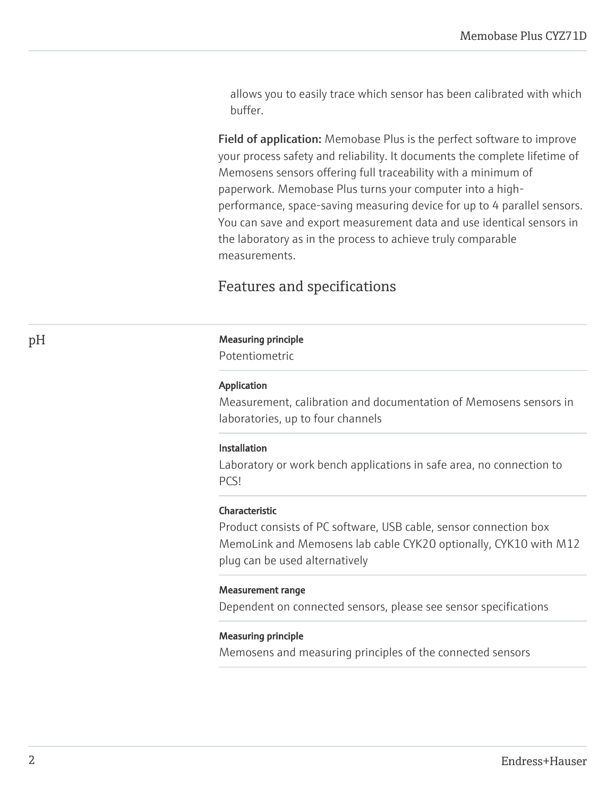allows you to easily trace which sensor has been calibrated with which buffer.

Field of application: Memobase Plus is the perfect software to improve your process safety and reliability. It documents the complete lifetime of Memosens sensors offering full traceability with a minimum of paperwork. Memobase Plus turns your computer into a highperformance, space-saving measuring device for up to 4 parallel sensors. You can save and export measurement data and use identical sensors in the laboratory as in the process to achieve truly comparable measurements.

# Features and specifications

#### pH Measuring principle

Potentiometric

#### Application

Measurement, calibration and documentation of Memosens sensors in laboratories, up to four channels

#### Installation

Laboratory or work bench applications in safe area, no connection to PCS!

#### Characteristic

Product consists of PC software, USB cable, sensor connection box MemoLink and Memosens lab cable CYK20 optionally, CYK10 with M12 plug can be used alternatively

#### Measurement range

Dependent on connected sensors, please see sensor specifications

#### Measuring principle

Memosens and measuring principles of the connected sensors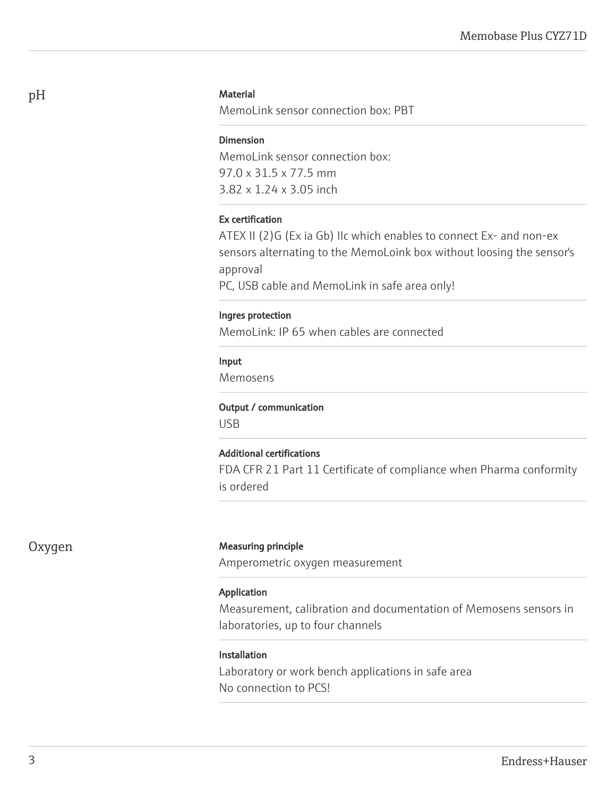#### **Material**

MemoLink sensor connection box: PBT

#### Dimension

MemoLink sensor connection box: 97.0 x 31.5 x 77.5 mm 3.82 x 1.24 x 3.05 inch

#### Ex certification

ATEX II (2)G (Ex ia Gb) IIc which enables to connect Ex- and non-ex sensors alternating to the MemoLoink box without loosing the sensor's approval

PC, USB cable and MemoLink in safe area only!

#### Ingres protection

MemoLink: IP 65 when cables are connected

#### Input

Memosens

#### Output / communication

USB

#### Additional certifications

FDA CFR 21 Part 11 Certificate of compliance when Pharma conformity is ordered

#### Oxygen Measuring principle

Amperometric oxygen measurement

#### Application

Measurement, calibration and documentation of Memosens sensors in laboratories, up to four channels

#### Installation

Laboratory or work bench applications in safe area No connection to PCS!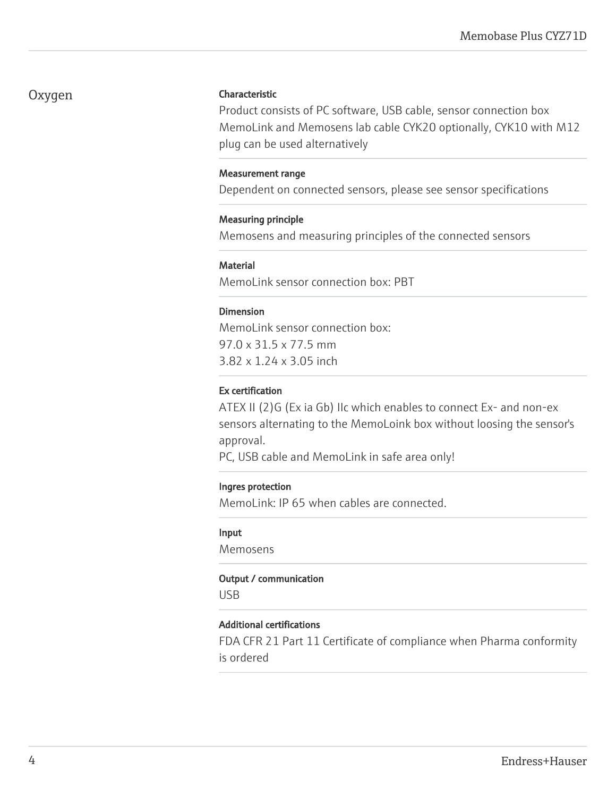# Oxygen

#### Characteristic

Product consists of PC software, USB cable, sensor connection box MemoLink and Memosens lab cable CYK20 optionally, CYK10 with M12 plug can be used alternatively

#### Measurement range

Dependent on connected sensors, please see sensor specifications

#### Measuring principle

Memosens and measuring principles of the connected sensors

#### **Material**

MemoLink sensor connection box: PBT

#### Dimension

MemoLink sensor connection box: 97.0 x 31.5 x 77.5 mm 3.82 x 1.24 x 3.05 inch

#### Ex certification

ATEX II (2)G (Ex ia Gb) IIc which enables to connect Ex- and non-ex sensors alternating to the MemoLoink box without loosing the sensor's approval.

PC, USB cable and MemoLink in safe area only!

#### Ingres protection

MemoLink: IP 65 when cables are connected.

#### Input

Memosens

#### Output / communication

USB

#### Additional certifications

FDA CFR 21 Part 11 Certificate of compliance when Pharma conformity is ordered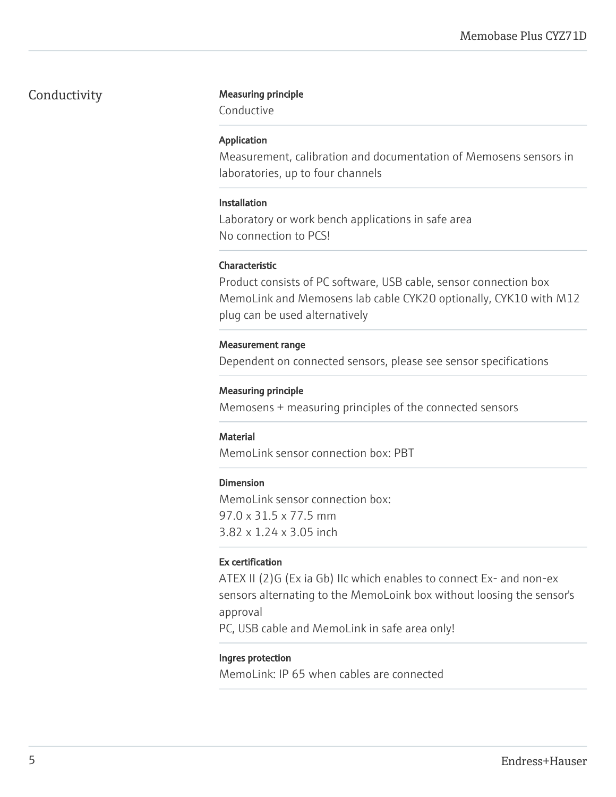# Conductivity Measuring principle

Conductive

#### Application

Measurement, calibration and documentation of Memosens sensors in laboratories, up to four channels

#### Installation

Laboratory or work bench applications in safe area No connection to PCS!

### Characteristic

Product consists of PC software, USB cable, sensor connection box MemoLink and Memosens lab cable CYK20 optionally, CYK10 with M12 plug can be used alternatively

#### Measurement range

Dependent on connected sensors, please see sensor specifications

#### Measuring principle

Memosens + measuring principles of the connected sensors

### Material

MemoLink sensor connection box: PBT

#### Dimension

MemoLink sensor connection box: 97.0 x 31.5 x 77.5 mm 3.82 x 1.24 x 3.05 inch

# Ex certification

ATEX II (2)G (Ex ia Gb) IIc which enables to connect Ex- and non-ex sensors alternating to the MemoLoink box without loosing the sensor's approval

PC, USB cable and MemoLink in safe area only!

#### Ingres protection

MemoLink: IP 65 when cables are connected